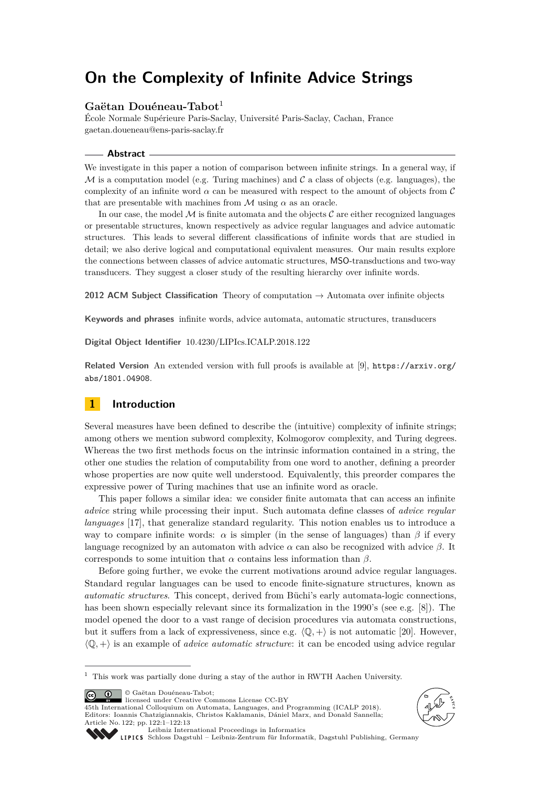# **On the Complexity of Infinite Advice Strings**

## **Gaëtan Douéneau-Tabot**<sup>1</sup>

École Normale Supérieure Paris-Saclay, Université Paris-Saclay, Cachan, France [gaetan.doueneau@ens-paris-saclay.fr](mailto:gaetan.doueneau@ens-paris-saclay.fr)

#### **Abstract**

We investigate in this paper a notion of comparison between infinite strings. In a general way, if M is a computation model (e.g. Turing machines) and  $\mathcal C$  a class of objects (e.g. languages), the complexity of an infinite word  $\alpha$  can be measured with respect to the amount of objects from  $\mathcal C$ that are presentable with machines from  $M$  using  $\alpha$  as an oracle.

In our case, the model  $M$  is finite automata and the objects  $C$  are either recognized languages or presentable structures, known respectively as advice regular languages and advice automatic structures. This leads to several different classifications of infinite words that are studied in detail; we also derive logical and computational equivalent measures. Our main results explore the connections between classes of advice automatic structures, MSO-transductions and two-way transducers. They suggest a closer study of the resulting hierarchy over infinite words.

**2012 ACM Subject Classification** Theory of computation → Automata over infinite objects

**Keywords and phrases** infinite words, advice automata, automatic structures, transducers

**Digital Object Identifier** [10.4230/LIPIcs.ICALP.2018.122](http://dx.doi.org/10.4230/LIPIcs.ICALP.2018.122)

**Related Version** An extended version with full proofs is available at [\[9\]](#page-12-0), [https://arxiv.org/](https://arxiv.org/abs/1801.04908) [abs/1801.04908](https://arxiv.org/abs/1801.04908).

# **1 Introduction**

Several measures have been defined to describe the (intuitive) complexity of infinite strings; among others we mention subword complexity, Kolmogorov complexity, and Turing degrees. Whereas the two first methods focus on the intrinsic information contained in a string, the other one studies the relation of computability from one word to another, defining a preorder whose properties are now quite well understood. Equivalently, this preorder compares the expressive power of Turing machines that use an infinite word as oracle.

This paper follows a similar idea: we consider finite automata that can access an infinite *advice* string while processing their input. Such automata define classes of *advice regular languages* [\[17\]](#page-12-1), that generalize standard regularity. This notion enables us to introduce a way to compare infinite words:  $\alpha$  is simpler (in the sense of languages) than  $\beta$  if every language recognized by an automaton with advice  $\alpha$  can also be recognized with advice  $\beta$ . It corresponds to some intuition that  $\alpha$  contains less information than  $\beta$ .

Before going further, we evoke the current motivations around advice regular languages. Standard regular languages can be used to encode finite-signature structures, known as *automatic structures*. This concept, derived from Büchi's early automata-logic connections, has been shown especially relevant since its formalization in the 1990's (see e.g. [\[8\]](#page-12-2)). The model opened the door to a vast range of decision procedures via automata constructions, but it suffers from a lack of expressiveness, since e.g.  $\langle \mathbb{Q}, + \rangle$  is not automatic [\[20\]](#page-12-3). However,  $\langle \mathbb{Q}, + \rangle$  is an example of *advice automatic structure*: it can be encoded using advice regular

© Gaëtan Douéneau-Tabot; <u>ര്ര 0 </u>

licensed under Creative Commons License CC-BY

45th International Colloquium on Automata, Languages, and Programming (ICALP 2018). Editors: Ioannis Chatzigiannakis, Christos Kaklamanis, Dániel Marx, and Donald Sannella; Article No. 122; pp. 122:1–122[:13](#page-12-4)





[Leibniz International Proceedings in Informatics](http://www.dagstuhl.de/lipics/)

[Schloss Dagstuhl – Leibniz-Zentrum für Informatik, Dagstuhl Publishing, Germany](http://www.dagstuhl.de)

 $^{\rm 1}$  This work was partially done during a stay of the author in RWTH Aachen University.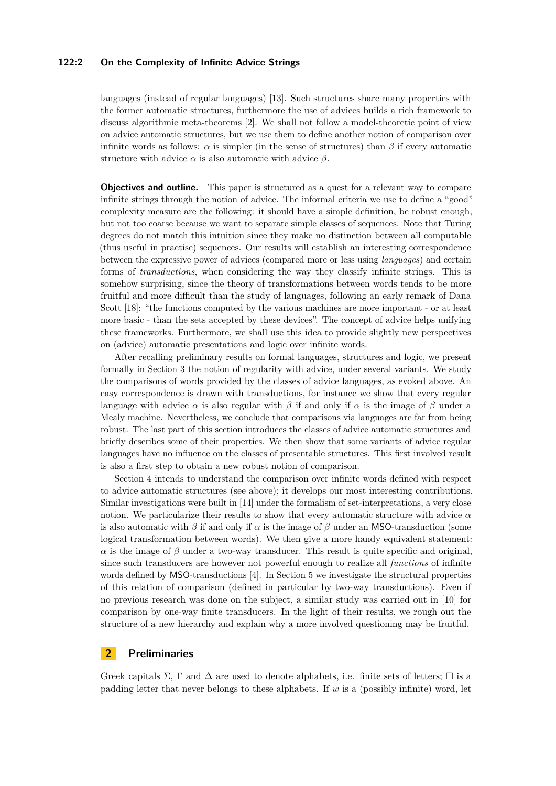## **122:2 On the Complexity of Infinite Advice Strings**

languages (instead of regular languages) [\[13\]](#page-12-5). Such structures share many properties with the former automatic structures, furthermore the use of advices builds a rich framework to discuss algorithmic meta-theorems [\[2\]](#page-12-6). We shall not follow a model-theoretic point of view on advice automatic structures, but we use them to define another notion of comparison over infinite words as follows:  $\alpha$  is simpler (in the sense of structures) than  $\beta$  if every automatic structure with advice  $\alpha$  is also automatic with advice  $\beta$ .

**Objectives and outline.** This paper is structured as a quest for a relevant way to compare infinite strings through the notion of advice. The informal criteria we use to define a "good" complexity measure are the following: it should have a simple definition, be robust enough, but not too coarse because we want to separate simple classes of sequences. Note that Turing degrees do not match this intuition since they make no distinction between all computable (thus useful in practise) sequences. Our results will establish an interesting correspondence between the expressive power of advices (compared more or less using *languages*) and certain forms of *transductions*, when considering the way they classify infinite strings. This is somehow surprising, since the theory of transformations between words tends to be more fruitful and more difficult than the study of languages, following an early remark of Dana Scott [\[18\]](#page-12-7): "the functions computed by the various machines are more important - or at least more basic - than the sets accepted by these devices". The concept of advice helps unifying these frameworks. Furthermore, we shall use this idea to provide slightly new perspectives on (advice) automatic presentations and logic over infinite words.

After recalling preliminary results on formal languages, structures and logic, we present formally in Section [3](#page-3-0) the notion of regularity with advice, under several variants. We study the comparisons of words provided by the classes of advice languages, as evoked above. An easy correspondence is drawn with transductions, for instance we show that every regular language with advice  $\alpha$  is also regular with  $\beta$  if and only if  $\alpha$  is the image of  $\beta$  under a Mealy machine. Nevertheless, we conclude that comparisons via languages are far from being robust. The last part of this section introduces the classes of advice automatic structures and briefly describes some of their properties. We then show that some variants of advice regular languages have no influence on the classes of presentable structures. This first involved result is also a first step to obtain a new robust notion of comparison.

Section [4](#page-7-0) intends to understand the comparison over infinite words defined with respect to advice automatic structures (see above); it develops our most interesting contributions. Similar investigations were built in [\[14\]](#page-12-8) under the formalism of set-interpretations, a very close notion. We particularize their results to show that every automatic structure with advice *α* is also automatic with  $\beta$  if and only if  $\alpha$  is the image of  $\beta$  under an MSO-transduction (some logical transformation between words). We then give a more handy equivalent statement: *α* is the image of  $\beta$  under a two-way transducer. This result is quite specific and original, since such transducers are however not powerful enough to realize all *functions* of infinite words defined by MSO-transductions [\[4\]](#page-12-9). In Section [5](#page-10-0) we investigate the structural properties of this relation of comparison (defined in particular by two-way transductions). Even if no previous research was done on the subject, a similar study was carried out in [\[10\]](#page-12-10) for comparison by one-way finite transducers. In the light of their results, we rough out the structure of a new hierarchy and explain why a more involved questioning may be fruitful.

# **2 Preliminaries**

Greek capitals  $\Sigma$ , Γ and  $\Delta$  are used to denote alphabets, i.e. finite sets of letters;  $\square$  is a padding letter that never belongs to these alphabets. If *w* is a (possibly infinite) word, let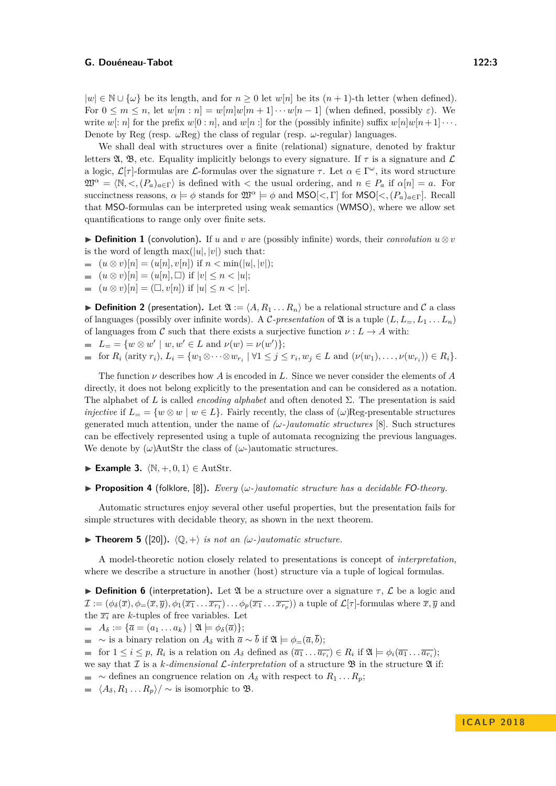$|w|$  ∈ N ∪ { $\omega$ } be its length, and for  $n \ge 0$  let  $w[n]$  be its  $(n + 1)$ -th letter (when defined). For  $0 \leq m \leq n$ , let  $w[m:n] = w[m]w[m+1] \cdots w[n-1]$  (when defined, possibly  $\varepsilon$ ). We write  $w[:n]$  for the prefix  $w[0:n]$ , and  $w[n:]$  for the (possibly infinite) suffix  $w[n]w[n+1] \cdots$ . Denote by Reg (resp.  $\omega$ Reg) the class of regular (resp.  $\omega$ -regular) languages.

We shall deal with structures over a finite (relational) signature, denoted by fraktur letters  $\mathfrak{A}, \mathfrak{B},$  etc. Equality implicitly belongs to every signature. If  $\tau$  is a signature and  $\mathcal{L}$ a logic,  $\mathcal{L}[\tau]$ -formulas are  $\mathcal{L}$ -formulas over the signature  $\tau$ . Let  $\alpha \in \Gamma^\omega$ , its word structure  $\mathfrak{W}^{\alpha} = \langle \mathbb{N}, \langle \cdot, (P_{a})_{a \in \Gamma} \rangle$  is defined with  $\langle$  the usual ordering, and  $n \in P_{a}$  if  $\alpha[n] = a$ . For succinctness reasons,  $\alpha \models \phi$  stands for  $\mathfrak{W}^{\alpha} \models \phi$  and  $\mathsf{MSO}[\lt, , \Gamma]$  for  $\mathsf{MSO}[\lt, , (P_a)_{a \in \Gamma}]$ . Recall that MSO-formulas can be interpreted using weak semantics (WMSO), where we allow set quantifications to range only over finite sets.

▶ **Definition 1** (convolution). If *u* and *v* are (possibly infinite) words, their *convolution*  $u \otimes v$ is the word of length  $\max(|u|, |v|)$  such that:

- $(u \otimes v)[n] = (u[n], v[n])$  if  $n < \min(|u|, |v|);$
- $(u \otimes v)[n] = (u[n], \Box)$  if  $|v| \le n < |u|$ ;
- $(u \otimes v)[n] = (\Box, v[n])$  if  $|u| \leq n < |v|.$  $\sim$

<span id="page-2-0"></span>**Definition 2** (presentation). Let  $\mathfrak{A} := \langle A, R_1 \dots R_n \rangle$  be a relational structure and C a class of languages (possibly over infinite words). A C-presentation of  $\mathfrak{A}$  is a tuple  $(L, L<sub>=</sub>, L<sub>1</sub>...L<sub>n</sub>)$ of languages from C such that there exists a surjective function  $\nu : L \to A$  with:

 $L = \{ w \otimes w' \mid w, w' \in L \text{ and } \nu(w) = \nu(w') \};$ 

$$
\text{ for } R_i \text{ (arity } r_i), L_i = \{w_1 \otimes \cdots \otimes w_{r_i} \mid \forall 1 \leq j \leq r_i, w_j \in L \text{ and } (\nu(w_1), \ldots, \nu(w_{r_i})) \in R_i \}.
$$

The function *ν* describes how *A* is encoded in *L*. Since we never consider the elements of *A* directly, it does not belong explicitly to the presentation and can be considered as a notation. The alphabet of *L* is called *encoding alphabet* and often denoted Σ. The presentation is said *injective* if  $L = \{w \otimes w \mid w \in L\}$ . Fairly recently, the class of  $(\omega)$ Reg-presentable structures generated much attention, under the name of  $(\omega$ -)*automatic structures* [\[8\]](#page-12-2). Such structures can be effectively represented using a tuple of automata recognizing the previous languages. We denote by  $(\omega)$ AutStr the class of  $(\omega)$ -)automatic structures.

- ► **Example 3.**  $\langle \mathbb{N}, +, 0, 1 \rangle \in \text{AutStr.}$
- **Proposition 4** (folklore, [\[8\]](#page-12-2)). *Every*  $(\omega$ -*)automatic structure has a decidable* FO-theory.

Automatic structures enjoy several other useful properties, but the presentation fails for simple structures with decidable theory, as shown in the next theorem.

<span id="page-2-1"></span>**Find Theorem 5** ([\[20\]](#page-12-3)).  $\langle \mathbb{Q}, + \rangle$  *is not an (* $\omega$ *-)automatic structure.* 

A model-theoretic notion closely related to presentations is concept of *interpretation*, where we describe a structure in another (host) structure via a tuple of logical formulas.

**Definition 6** (interpretation). Let  $\mathfrak A$  be a structure over a signature  $\tau$ ,  $\mathcal L$  be a logic and  $\mathcal{I} := (\phi_{\delta}(\overline{x}), \phi_{=}(\overline{x}, \overline{y}), \phi_{1}(\overline{x_{1}} \dots \overline{x_{r_{1}}}) \dots \phi_{p}(\overline{x_{1}} \dots \overline{x_{r_{p}}))$  a tuple of  $\mathcal{L}[\tau]$ -formulas where  $\overline{x}, \overline{y}$  and the  $\overline{x_i}$  are *k*-tuples of free variables. Let

- $\blacksquare$   $A_\delta := {\overline{a} = (a_1 \dots a_k) \mid \mathfrak{A} \models \phi_\delta(\overline{a})};$
- $\blacksquare$  ∼ is a binary relation on  $A_\delta$  with  $\bar{a} \sim \bar{b}$  if  $\mathfrak{A} \models \phi = (\bar{a}, \bar{b});$

for  $1 \leq i \leq p$ ,  $R_i$  is a relation on  $A_\delta$  defined as  $(\overline{a_1} \dots \overline{a_{r_i}}) \in R_i$  if  $\mathfrak{A} \models \phi_i(\overline{a_1} \dots \overline{a_{r_i}});$ 

- we say that  $\mathcal I$  is a *k*-dimensional  $\mathcal L$ -interpretation of a structure  $\mathfrak B$  in the structure  $\mathfrak A$  if:
- $\blacksquare$  ∼ defines an congruence relation on  $A_\delta$  with respect to  $R_1 \ldots R_p$ ;
- $\langle A_{\delta}, R_1 ... R_p \rangle / \sim$  is isomorphic to B.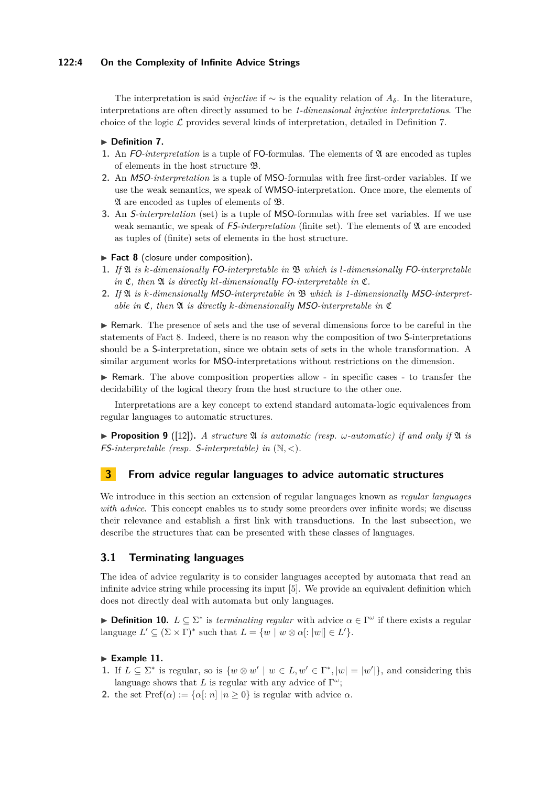## **122:4 On the Complexity of Infinite Advice Strings**

The interpretation is said *injective* if  $\sim$  is the equality relation of  $A_{\delta}$ . In the literature, interpretations are often directly assumed to be *1-dimensional injective interpretations*. The choice of the logic  $\mathcal L$  provides several kinds of interpretation, detailed in Definition [7.](#page-3-1)

## <span id="page-3-1"></span>▶ Definition 7.

- **1.** An FO-interpretation is a tuple of FO-formulas. The elements of  $\mathfrak A$  are encoded as tuples of elements in the host structure B.
- **2.** An MSO*-interpretation* is a tuple of MSO-formulas with free first-order variables. If we use the weak semantics, we speak of WMSO-interpretation. Once more, the elements of A are encoded as tuples of elements of B.
- **3.** An S*-interpretation* (set) is a tuple of MSO-formulas with free set variables. If we use weak semantic, we speak of  $FS-interpretation$  (finite set). The elements of  $\mathfrak A$  are encoded as tuples of (finite) sets of elements in the host structure.

## <span id="page-3-2"></span>▶ Fact 8 (closure under composition).

- **1.** *If* A *is k-dimensionally* FO*-interpretable in* B *which is l-dimensionally* FO*-interpretable in*  $\mathfrak{C}$ *, then*  $\mathfrak{A}$  *is directly kl-dimensionally* FO-*interpretable in*  $\mathfrak{C}$ *.*
- **2.** *If* A *is k-dimensionally* MSO*-interpretable in* B *which is 1-dimensionally* MSO*-interpretable in*  $\mathfrak{C}$ *, then*  $\mathfrak{A}$  *is directly k-dimensionally* MSO*-interpretable in*  $\mathfrak{C}$

 $\triangleright$  Remark. The presence of sets and the use of several dimensions force to be careful in the statements of Fact [8.](#page-3-2) Indeed, there is no reason why the composition of two S-interpretations should be a S-interpretation, since we obtain sets of sets in the whole transformation. A similar argument works for MSO-interpretations without restrictions on the dimension.

 $\triangleright$  Remark. The above composition properties allow - in specific cases - to transfer the decidability of the logical theory from the host structure to the other one.

Interpretations are a key concept to extend standard automata-logic equivalences from regular languages to automatic structures.

**Proposition 9** ([\[12\]](#page-12-11)). A structure  $\mathfrak A$  is automatic (resp.  $\omega$ -automatic) if and only if  $\mathfrak A$  is FS*-interpretable (resp.* S*-interpretable) in* (N*, <*)*.*

# <span id="page-3-0"></span>**3 From advice regular languages to advice automatic structures**

We introduce in this section an extension of regular languages known as *regular languages with advice*. This concept enables us to study some preorders over infinite words; we discuss their relevance and establish a first link with transductions. In the last subsection, we describe the structures that can be presented with these classes of languages.

# <span id="page-3-3"></span>**3.1 Terminating languages**

The idea of advice regularity is to consider languages accepted by automata that read an infinite advice string while processing its input [\[5\]](#page-12-12). We provide an equivalent definition which does not directly deal with automata but only languages.

**► Definition 10.**  $L \subseteq \Sigma^*$  is *terminating regular* with advice  $\alpha \in \Gamma^\omega$  if there exists a regular language  $L' \subseteq (\Sigma \times \Gamma)^*$  such that  $L = \{w \mid w \otimes \alpha : |w| \in L'\}.$ 

# Example 11.

- **1.** If  $L \subseteq \Sigma^*$  is regular, so is  $\{w \otimes w' \mid w \in L, w' \in \Gamma^*, |w| = |w'|\}$ , and considering this language shows that *L* is regular with any advice of  $\Gamma^{\omega}$ ;
- **2.** the set  $\text{Pref}(\alpha) := {\alpha : n | n \geq 0}$  is regular with advice  $\alpha$ .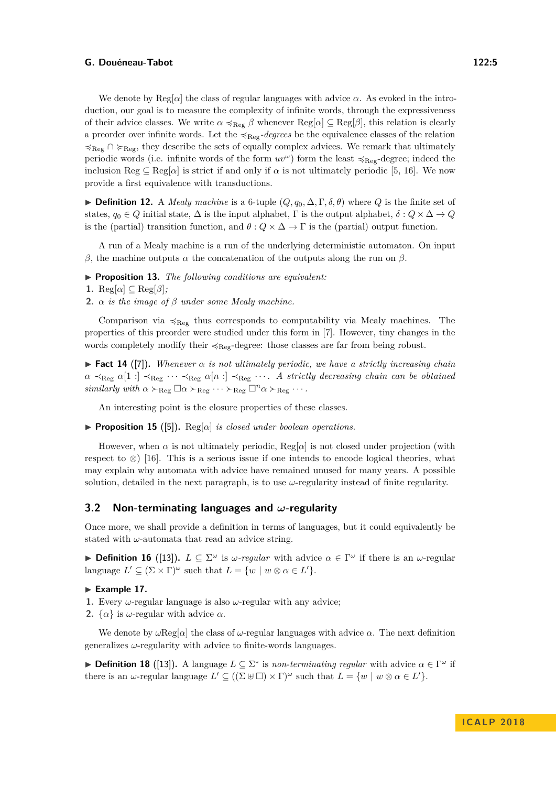We denote by  $\text{Reg}[\alpha]$  the class of regular languages with advice  $\alpha$ . As evoked in the introduction, our goal is to measure the complexity of infinite words, through the expressiveness of their advice classes. We write  $\alpha \preccurlyeq_{\text{Reg}} \beta$  whenever  $\text{Reg}[\alpha] \subseteq \text{Reg}[\beta]$ , this relation is clearly a preorder over infinite words. Let the  $\prec_{\text{Reg}}$ -degrees be the equivalence classes of the relation  $\preccurlyeq_{Reg} \cap \succcurlyeq_{Reg}$ , they describe the sets of equally complex advices. We remark that ultimately periodic words (i.e. infinite words of the form  $uv^{\omega}$ ) form the least  $\preccurlyeq_{\text{Re}g}\text{-degree}$ ; indeed the inclusion Reg  $\subseteq$  Reg[ $\alpha$ ] is strict if and only if  $\alpha$  is not ultimately periodic [\[5,](#page-12-12) [16\]](#page-12-13). We now provide a first equivalence with transductions.

**► Definition 12.** A *Mealy machine* is a 6-tuple  $(Q, q_0, \Delta, \Gamma, \delta, \theta)$  where  $Q$  is the finite set of states,  $q_0 \in Q$  initial state,  $\Delta$  is the input alphabet,  $\Gamma$  is the output alphabet,  $\delta: Q \times \Delta \to Q$ is the (partial) transition function, and  $\theta$  :  $Q \times \Delta \rightarrow \Gamma$  is the (partial) output function.

A run of a Mealy machine is a run of the underlying deterministic automaton. On input *β*, the machine outputs *α* the concatenation of the outputs along the run on *β*.

I **Proposition 13.** *The following conditions are equivalent:*

**1.** Reg[ $\alpha$ ]  $\subseteq$  Reg[ $\beta$ ];

**2.** *α is the image of β under some Mealy machine.*

Comparison via  $\prec_{\text{Reg}}$  thus corresponds to computability via Mealy machines. The properties of this preorder were studied under this form in [\[7\]](#page-12-14). However, tiny changes in the words completely modify their  $\preccurlyeq_{\text{Re}e}$ -degree: those classes are far from being robust.

<span id="page-4-0"></span>**Fact 14** ([\[7\]](#page-12-14)). Whenever  $\alpha$  is not ultimately periodic, we have a strictly increasing chain  $\alpha \prec_{\text{Reg}} \alpha[1:] \prec_{\text{Reg}} \cdots \prec_{\text{Reg}} \alpha[n:] \prec_{\text{Reg}} \cdots$ . A strictly decreasing chain can be obtained *similarly with*  $\alpha \succ_{\text{Reg}} \Box \alpha \succ_{\text{Reg}} \cdots \succ_{\text{Reg}} \Box^n \alpha \succ_{\text{Reg}} \cdots$ .

An interesting point is the closure properties of these classes.

**Proposition 15** ([\[5\]](#page-12-12)). Reg[ $\alpha$ ] *is closed under boolean operations.* 

However, when  $\alpha$  is not ultimately periodic, Reg[ $\alpha$ ] is not closed under projection (with respect to  $\otimes$  [\[16\]](#page-12-13). This is a serious issue if one intends to encode logical theories, what may explain why automata with advice have remained unused for many years. A possible solution, detailed in the next paragraph, is to use  $\omega$ -regularity instead of finite regularity.

## **3.2 Non-terminating languages and** *ω***-regularity**

Once more, we shall provide a definition in terms of languages, but it could equivalently be stated with *ω*-automata that read an advice string.

**Definition 16** ([\[13\]](#page-12-5)).  $L \subseteq \Sigma^{\omega}$  is  $\omega$ -regular with advice  $\alpha \in \Gamma^{\omega}$  if there is an  $\omega$ -regular language  $L' \subseteq (\Sigma \times \Gamma)^\omega$  such that  $L = \{w \mid w \otimes \alpha \in L'\}.$ 

## Example 17.

- **1.** Every  $\omega$ -regular language is also  $\omega$ -regular with any advice;
- **2.**  $\{\alpha\}$  is *ω*-regular with advice  $\alpha$ .

We denote by *ω*Reg[*α*] the class of *ω*-regular languages with advice *α*. The next definition generalizes *ω*-regularity with advice to finite-words languages.

**► Definition 18** ([\[13\]](#page-12-5)). A language  $L \subseteq \Sigma^*$  is *non-terminating regular* with advice  $\alpha \in \Gamma^\omega$  if there is an  $\omega$ -regular language  $L' \subseteq ((\Sigma \oplus \square) \times \Gamma)^\omega$  such that  $L = \{w \mid w \otimes \alpha \in L'\}.$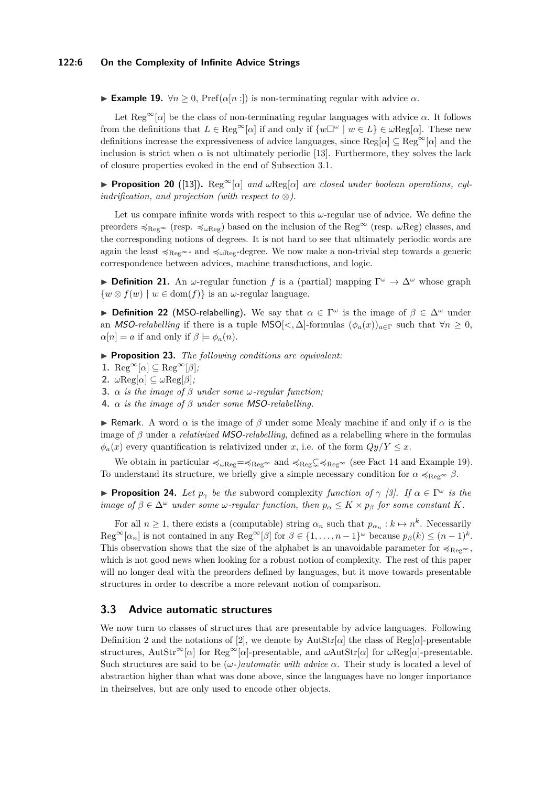<span id="page-5-0"></span>**► Example 19.**  $\forall n \geq 0$ , Pref( $α[n:]$ ) is non-terminating regular with advice  $α$ .

Let  $\text{Reg}^{\infty}[\alpha]$  be the class of non-terminating regular languages with advice  $\alpha$ . It follows from the definitions that  $L \in \text{Reg}^{\infty}[\alpha]$  if and only if  $\{w \Box^{\omega} \mid w \in L\} \in \omega \text{Reg}[\alpha]$ . These new definitions increase the expressiveness of advice languages, since Reg[*α*] ⊆ Reg∞[*α*] and the inclusion is strict when  $\alpha$  is not ultimately periodic [\[13\]](#page-12-5). Furthermore, they solves the lack of closure properties evoked in the end of Subsection [3.1.](#page-3-3)

**► Proposition 20** ([\[13\]](#page-12-5)). Reg<sup>∞</sup>[ $\alpha$ ] *and*  $\omega$ Reg[ $\alpha$ ] *are closed under boolean operations, cylindrification, and projection (with respect to*  $\otimes$ ).

Let us compare infinite words with respect to this *ω*-regular use of advice. We define the preorders  $\prec_{\text{Reg}^{\infty}}$  (resp.  $\prec_{\omega \text{Reg}}$ ) based on the inclusion of the Reg<sup>∞</sup> (resp.  $\omega \text{Reg}$ ) classes, and the corresponding notions of degrees. It is not hard to see that ultimately periodic words are again the least  $\prec_{\text{Reg}} \sim$ - and  $\prec_{\text{wReg}}$ -degree. We now make a non-trivial step towards a generic correspondence between advices, machine transductions, and logic.

**Definition 21.** An  $\omega$ -regular function *f* is a (partial) mapping  $\Gamma^{\omega} \to \Delta^{\omega}$  whose graph  $\{w \otimes f(w) \mid w \in \text{dom}(f)\}\$ is an *ω*-regular language.

<span id="page-5-1"></span>**Definition 22** (MSO-relabelling). We say that  $\alpha \in \Gamma^\omega$  is the image of  $\beta \in \Delta^\omega$  under an *MSO-relabelling* if there is a tuple MSO[<,  $\Delta$ ]-formulas  $(\phi_a(x))_{a \in \Gamma}$  such that  $\forall n \geq 0$ ,  $\alpha[n] = a$  if and only if  $\beta \models \phi_a(n)$ .

▶ **Proposition 23.** *The following conditions are equivalent:* 

- **1.** Reg<sup>∞</sup>[ $\alpha$ ]  $\subseteq$  Reg<sup>∞</sup>[ $\beta$ ];
- **2.**  $\omega \text{Reg}[\alpha] \subseteq \omega \text{Reg}[\beta];$
- **3.** *α is the image of β under some ω-regular function;*
- **4.** *α is the image of β under some* MSO*-relabelling.*

**I** Remark. A word  $\alpha$  is the image of  $\beta$  under some Mealy machine if and only if  $\alpha$  is the image of *β* under a *relativized* MSO*-relabelling*, defined as a relabelling where in the formulas  $\phi_a(x)$  every quantification is relativized under *x*, i.e. of the form  $Qy/Y \leq x$ .

We obtain in particular  $\prec_{\omega \text{Reg}} = \prec_{\text{Reg}} \infty$  and  $\prec_{\text{Reg}} \subset \prec_{\text{Reg}} \infty$  (see Fact [14](#page-4-0) and Example [19\)](#page-5-0). To understand its structure, we briefly give a simple necessary condition for  $\alpha \preccurlyeq_{\text{Reg}} \beta$ .

<span id="page-5-3"></span>**Proposition 24.** *Let*  $p_{\gamma}$  *be the* subword complexity *function of*  $\gamma$  [\[3\]](#page-12-15). *If*  $\alpha \in \Gamma^{\omega}$  *is the image of*  $\beta \in \Delta^{\omega}$  *under some*  $\omega$ *-regular function, then*  $p_{\alpha} \leq K \times p_{\beta}$  *for some constant K.* 

For all  $n \geq 1$ , there exists a (computable) string  $\alpha_n$  such that  $p_{\alpha_n}: k \mapsto n^k$ . Necessarily  $\text{Reg}^{\infty}[\alpha_n]$  is not contained in any  $\text{Reg}^{\infty}[\beta]$  for  $\beta \in \{1, \ldots, n-1\}^{\omega}$  because  $p_{\beta}(k) \leq (n-1)^k$ . This observation shows that the size of the alphabet is an unavoidable parameter for  $\preccurlyeq_{\text{Re}g^{\infty}}$ , which is not good news when looking for a robust notion of complexity. The rest of this paper will no longer deal with the preorders defined by languages, but it move towards presentable structures in order to describe a more relevant notion of comparison.

# <span id="page-5-2"></span>**3.3 Advice automatic structures**

We now turn to classes of structures that are presentable by advice languages. Following Definition [2](#page-2-0) and the notations of [\[2\]](#page-12-6), we denote by  $\text{AutStr}[\alpha]$  the class of  $\text{Reg}[\alpha]$ -presentable structures, AutStr<sup>∞</sup>[*α*] for Reg<sup>∞</sup>[*α*]-presentable, and *ω*AutStr[*α*] for *ω*Reg[*α*]-presentable. Such structures are said to be  $(\omega)$ *automatic with advice*  $\alpha$ . Their study is located a level of abstraction higher than what was done above, since the languages have no longer importance in theirselves, but are only used to encode other objects.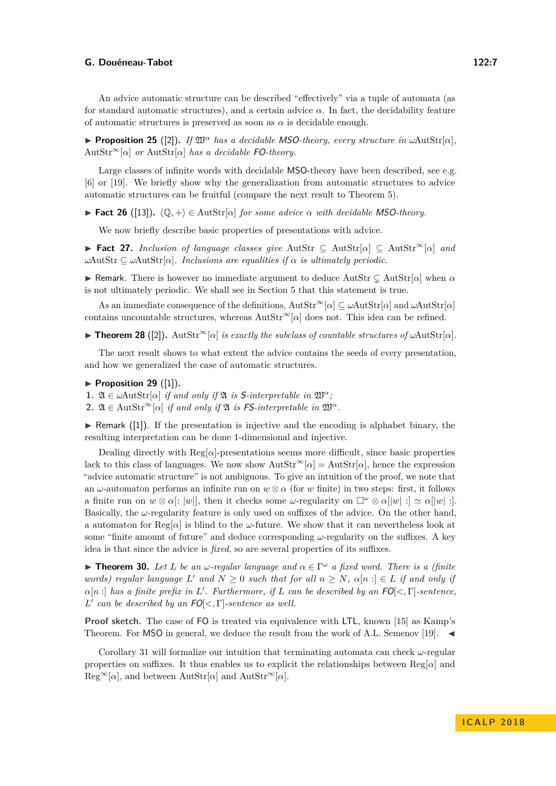An advice automatic structure can be described "effectively" via a tuple of automata (as for standard automatic structures), and a certain advice  $\alpha$ . In fact, the decidability feature of automatic structures is preserved as soon as  $\alpha$  is decidable enough.

**Proposition 25** ([\[2\]](#page-12-6)). *If*  $\mathfrak{W}^{\alpha}$  *has a decidable MSO-theory, every structure in*  $\omega$ AutStr[ $\alpha$ ], AutStr∞[*α*] *or* AutStr[*α*] *has a decidable* FO*-theory.*

Large classes of infinite words with decidable MSO-theory have been described, see e.g. [\[6\]](#page-12-16) or [\[19\]](#page-12-17). We briefly show why the generalization from automatic structures to advice automatic structures can be fruitful (compare the next result to Theorem [5\)](#page-2-1).

**► Fact 26** ([\[13\]](#page-12-5)).  $\langle \mathbb{Q}, + \rangle \in \text{AutStr}[\alpha]$  *for some advice*  $\alpha$  *with decidable MSO-theory.* 

We now briefly describe basic properties of presentations with advice.

I **Fact 27.** *Inclusion of language classes give* AutStr ⊆ AutStr[*α*] ⊆ AutStr<sup>∞</sup>[*α*] *and*  $ωAutStr ⊆ ωAutStr[α]$ *. Inclusions are equalities if α is ultimately periodic.* 

**I** Remark. There is however no immediate argument to deduce AutStr  $\subsetneq$  AutStr[ $\alpha$ ] when  $\alpha$ is not ultimately periodic. We shall see in Section [5](#page-10-0) that this statement is true.

As an immediate consequence of the definitions, AutStr<sup>∞</sup>[*α*] ⊆ *ω*AutStr[*α*] and *ω*AutStr[*α*] contains uncountable structures, whereas AutStr<sup>∞</sup>[*α*] does not. This idea can be refined.

<span id="page-6-1"></span> $\triangleright$  **Theorem 28** ([\[2\]](#page-12-6)). AutStr<sup>∞</sup>[*α*] *is exactly the subclass of countable structures of ω*AutStr[*α*].

The next result shows to what extent the advice contains the seeds of every presentation, and how we generalized the case of automatic structures.

- <span id="page-6-0"></span> $\blacktriangleright$  Proposition 29 ([\[1\]](#page-12-18)).
- **1.**  $\mathfrak{A} \in \omega$ AutStr[ $\alpha$ ] *if and only if*  $\mathfrak{A}$  *is* S-interpretable in  $\mathfrak{W}^{\alpha}$ ;
- **2.**  $\mathfrak{A} \in \text{AutStr}^{\infty}[\alpha]$  *if and only if*  $\mathfrak{A}$  *is* FS-interpretable in  $\mathfrak{W}^{\alpha}$ .

 $\triangleright$  Remark ([\[1\]](#page-12-18)). If the presentation is injective and the encoding is alphabet binary, the resulting interpretation can be done 1-dimensional and injective.

Dealing directly with Reg[*α*]-presentations seems more difficult, since basic properties lack to this class of languages. We now show  $\text{AutStr}^{\infty}[\alpha] = \text{AutStr}[\alpha]$ , hence the expression "advice automatic structure" is not ambiguous. To give an intuition of the proof, we note that an  $\omega$ -automaton performs an infinite run on  $w \otimes \alpha$  (for *w* finite) in two steps: first, it follows a finite run on  $w \otimes \alpha$ :  $|w|$ , then it checks some *ω*-regularity on  $\square^{\omega} \otimes \alpha |w|$  :  $\alpha \simeq \alpha |w|$  : Basically, the  $\omega$ -regularity feature is only used on suffixes of the advice. On the other hand, a automaton for  $\text{Reg}[\alpha]$  is blind to the *ω*-future. We show that it can nevertheless look at some "finite amount of future" and deduce corresponding *ω*-regularity on the suffixes. A key idea is that since the advice is *fixed*, so are several properties of its suffixes.

**Findmer 30.** *Let L be an ω-regular language and*  $\alpha \in \Gamma^\omega$  *a fixed word. There is a (finite*) *words) regular language*  $L'$  *and*  $N \geq 0$  *such that for all*  $n \geq N$ *,*  $\alpha[n : ] \in L$  *if and only if*  $\alpha[n]$  *has a finite prefix in L*'. Furthermore, if *L* can be described by an  $FO[<, \Gamma]$ -sentence, *L*<sup> $\prime$ </sup> can be described by an FO[ $\lt$ , Γ]*-sentence as well.* 

**Proof sketch.** The case of FO is treated via equivalence with LTL, known [\[15\]](#page-12-19) as Kamp's Theorem. For MSO in general, we deduce the result from the work of A.L. Semenov [\[19\]](#page-12-17).  $\blacktriangleleft$ 

Corollary [31](#page-7-1) will formalize our intuition that terminating automata can check *ω*-regular properties on suffixes. It thus enables us to explicit the relationships between  $\text{Reg}[\alpha]$  and  $\text{Reg}^{\infty}[\alpha]$ , and between  $\text{AutStr}[\alpha]$  and  $\text{AutStr}^{\infty}[\alpha]$ .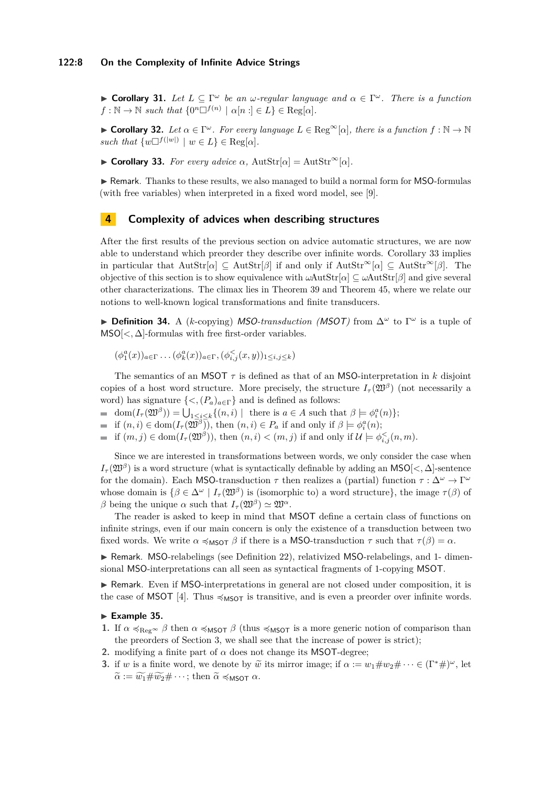<span id="page-7-1"></span>**► Corollary 31.** Let  $L \subseteq \Gamma^\omega$  be an  $\omega$ -regular language and  $\alpha \in \Gamma^\omega$ . There is a function  $f : \mathbb{N} \to \mathbb{N}$  *such that*  $\{0^n \Box^{f(n)} \mid \alpha[n] \in L\} \in \text{Reg}[\alpha]$ *.* 

**► Corollary 32.** Let  $\alpha \in \Gamma^\omega$ . For every language  $L \in \text{Reg}^\infty[\alpha]$ , there is a function  $f : \mathbb{N} \to \mathbb{N}$ *such that*  $\{w\Box^{f(|w|)} \mid w \in L\} \in \text{Reg}[\alpha].$ 

<span id="page-7-2"></span> $\triangleright$  **Corollary 33.** *For every advice α*,  $\text{AutStr}[\alpha] = \text{AutStr}^{\infty}[\alpha]$ *.* 

 $\triangleright$  Remark. Thanks to these results, we also managed to build a normal form for MSO-formulas (with free variables) when interpreted in a fixed word model, see [\[9\]](#page-12-0).

# <span id="page-7-0"></span>**4 Complexity of advices when describing structures**

After the first results of the previous section on advice automatic structures, we are now able to understand which preorder they describe over infinite words. Corollary [33](#page-7-2) implies in particular that  $AutStr[\alpha] \subseteq AutStr[\beta]$  if and only if  $AutStr^{\infty}[\alpha] \subseteq AutStr^{\infty}[\beta]$ . The objective of this section is to show equivalence with *ω*AutStr[*α*] ⊆ *ω*AutStr[*β*] and give several other characterizations. The climax lies in Theorem [39](#page-8-0) and Theorem [45,](#page-9-0) where we relate our notions to well-known logical transformations and finite transducers.

**► Definition 34.** A (*k*-copying) *MSO-transduction (MSOT)* from  $\Delta^{\omega}$  to Γ<sup>ω</sup> is a tuple of  $MSO[\langle , \Delta]$ -formulas with free first-order variables.

 $(\phi_1^a(x))_{a \in \Gamma} \ldots (\phi_k^a(x))_{a \in \Gamma}, (\phi_{i,j}^{\le}(x, y))_{1 \le i, j \le k})$ 

The semantics of an MSOT *τ* is defined as that of an MSO-interpretation in *k* disjoint copies of a host word structure. More precisely, the structure  $I_\tau(\mathfrak{W}^\beta)$  (not necessarily a word) has signature  $\{<,(P_a)_{a\in\Gamma}\}\$  and is defined as follows:

 $dom(I_{\tau}(\mathfrak{W}^{\beta})) = \bigcup_{1 \leq i \leq k} \{ (n, i) \mid \text{ there is } a \in A \text{ such that } \beta \models \phi_i^a(n) \};$ 

if  $(n, i) \in \text{dom}(I_\tau(\mathfrak{W}^\beta))$ , then  $(n, i) \in P_a$  if and only if  $\beta \models \phi_i^a(n)$ ;

if  $(m, j) \in \text{dom}(I_\tau(\mathfrak{W}^\beta))$ , then  $(n, i) < (m, j)$  if and only if  $\mathcal{U} \models \phi_{i,j}^{\leq}(n, m)$ .  $\blacksquare$ 

Since we are interested in transformations between words, we only consider the case when  $I_{\tau}(\mathfrak{W}^{\beta})$  is a word structure (what is syntactically definable by adding an MSO[ $<, \Delta$ ]-sentence for the domain). Each MSO-transduction  $\tau$  then realizes a (partial) function  $\tau : \Delta^{\omega} \to \Gamma^{\omega}$ whose domain is  $\{\beta \in \Delta^{\omega} \mid I_{\tau}(\mathfrak{W}^{\beta})\}$  is (isomorphic to) a word structure}, the image  $\tau(\beta)$  of *β* being the unique *α* such that  $I_\tau(\mathfrak{W}^\beta) \simeq \mathfrak{W}^\alpha$ .

The reader is asked to keep in mind that MSOT define a certain class of functions on infinite strings, even if our main concern is only the existence of a transduction between two fixed words. We write  $\alpha \preccurlyeq_{\text{MSOT}} \beta$  if there is a MSO-transduction  $\tau$  such that  $\tau(\beta) = \alpha$ .

▶ Remark. MSO-relabelings (see Definition [22\)](#page-5-1), relativized MSO-relabelings, and 1- dimensional MSO-interpretations can all seen as syntactical fragments of 1-copying MSOT.

 $\triangleright$  Remark. Even if MSO-interpretations in general are not closed under composition, it is the case of MSOT [\[4\]](#page-12-9). Thus  $\leq_{\text{MSOT}}$  is transitive, and is even a preorder over infinite words.

# <span id="page-7-3"></span>Example 35.

- **1.** If  $\alpha \preccurlyeq_{Reg^{\infty}} \beta$  then  $\alpha \preccurlyeq_{M\text{SOT}} \beta$  (thus  $\preccurlyeq_{M\text{SOT}}$  is a more generic notion of comparison than the preorders of Section [3,](#page-3-0) we shall see that the increase of power is strict);
- **2.** modifying a finite part of  $\alpha$  does not change its MSOT-degree:
- **3.** if *w* is a finite word, we denote by  $\widetilde{w}$  its mirror image; if  $\alpha := w_1 \# w_2 \# \cdots \in (\Gamma^* \#)^{\omega}$ , let  $\widetilde{\alpha} := \widetilde{w_1} \# \widetilde{w_2} \# \cdots$ ; then  $\widetilde{\alpha} \preccurlyeq_{\mathsf{MSOT}} \alpha$ .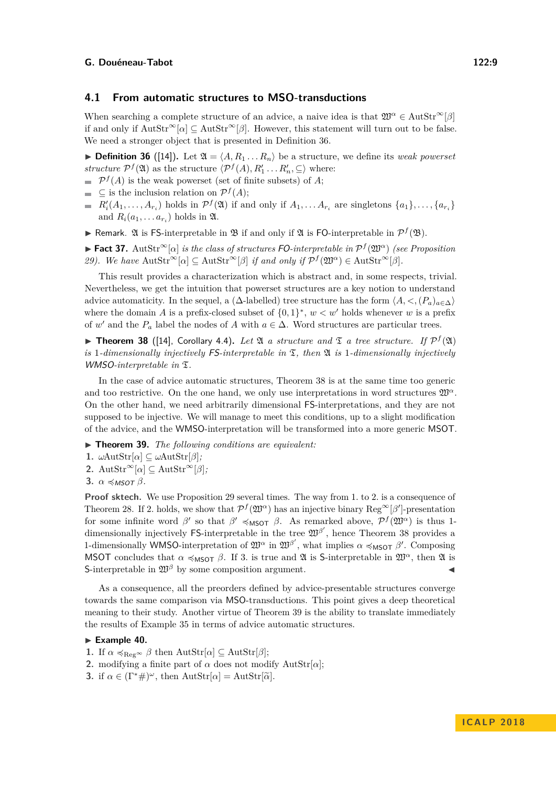## **4.1 From automatic structures to MSO-transductions**

When searching a complete structure of an advice, a naive idea is that  $\mathfrak{W}^{\alpha} \in \text{AutStr}^{\infty}[\beta]$ if and only if  $\text{AutStr}^{\infty}[\alpha] \subset \text{AutStr}^{\infty}[\beta]$ . However, this statement will turn out to be false. We need a stronger object that is presented in Definition [36.](#page-8-1)

<span id="page-8-1"></span> $\triangleright$  **Definition 36** ([\[14\]](#page-12-8)). Let  $\mathfrak{A} = \langle A, R_1 \dots R_n \rangle$  be a structure, we define its *weak powerset structure*  $P^f(\mathfrak{A})$  as the structure  $\langle P^f(A), R'_1 \dots R'_n, \subseteq \rangle$  where:

- $\mathcal{P}^f(A)$  is the weak powerset (set of finite subsets) of A;
- $\subseteq$  is the inclusion relation on  $\mathcal{P}^f(A)$ ;
- $R'_i(A_1, \ldots, A_{r_i})$  holds in  $\mathcal{P}^f(\mathfrak{A})$  if and only if  $A_1, \ldots, A_{r_i}$  are singletons  $\{a_1\}, \ldots, \{a_{r_i}\}$ and  $R_i(a_1, \ldots a_{r_i})$  holds in  $\mathfrak{A}$ .
- **Formark.** 20 is FS-interpretable in  $\mathcal{B}$  if and only if  $\mathcal{A}$  is FO-interpretable in  $\mathcal{P}^f(\mathcal{B})$ .

**► Fact 37.** AutStr<sup>∞</sup>[ $\alpha$ ] *is the class of structures* FO-interpretable in  $\mathcal{P}^f(\mathfrak{W}^{\alpha})$  (see Proposition *29). We have*  $\text{AutStr}^{\infty}[\alpha] \subseteq \text{AutStr}^{\infty}[\beta]$  *if and only if*  $\mathcal{P}^f(\mathfrak{W}^{\alpha}) \in \text{AutStr}^{\infty}[\beta]$ *.* 

This result provides a characterization which is abstract and, in some respects, trivial. Nevertheless, we get the intuition that powerset structures are a key notion to understand advice automaticity. In the sequel, a ( $\Delta$ -labelled) tree structure has the form  $\langle A, \langle ,P_a \rangle_{a \in \Delta} \rangle$ where the domain *A* is a prefix-closed subset of  $\{0,1\}^*, w < w'$  holds whenever *w* is a prefix of *w'* and the  $P_a$  label the nodes of *A* with  $a \in \Delta$ . Word structures are particular trees.

<span id="page-8-2"></span>**Theorem 38** ([\[14\]](#page-12-8), Corollary 4.4). Let  $\mathfrak{A}$  a structure and  $\mathfrak{T}$  a tree structure. If  $\mathcal{P}^f(\mathfrak{A})$ is 1-dimensionally injectively  $FS$ -interpretable in  $\mathfrak{T}$ , then  $\mathfrak{A}$  is 1-dimensionally injectively WMSO-interpretable in  $\mathfrak{T}$ .

In the case of advice automatic structures, Theorem [38](#page-8-2) is at the same time too generic and too restrictive. On the one hand, we only use interpretations in word structures  $\mathfrak{W}^{\alpha}$ . On the other hand, we need arbitrarily dimensional FS-interpretations, and they are not supposed to be injective. We will manage to meet this conditions, up to a slight modification of the advice, and the WMSO-interpretation will be transformed into a more generic MSOT.

<span id="page-8-0"></span>▶ **Theorem 39.** *The following conditions are equivalent:* 

- **1.**  $\omega$ AutStr[ $\alpha$ ]  $\subseteq$   $\omega$ AutStr[ $\beta$ ];
- 2. AutStr<sup>∞</sup>[ $\alpha$ ]  $\subseteq$  AutStr<sup>∞</sup>[ $\beta$ ];

3. 
$$
\alpha \preccurlyeq_{MSOT} \beta
$$
.

**Proof sktech.** We use Proposition [29](#page-6-0) several times. The way from 1*.* to 2*.* is a consequence of Theorem [28.](#page-6-1) If 2. holds, we show that  $\mathcal{P}^f(\mathfrak{W}^{\alpha})$  has an injective binary  $\text{Reg}^{\infty}[\beta']$ -presentation for some infinite word *β*' so that  $\beta' \preccurlyeq_{\mathsf{MSOT}} \beta$ . As remarked above,  $\mathcal{P}^f(\mathfrak{W}^{\alpha})$  is thus 1dimensionally injectively FS-interpretable in the tree  $\mathfrak{W}^{\beta'}$ , hence Theorem [38](#page-8-2) provides a 1-dimensionally WMSO-interpretation of  $\mathfrak{W}^\alpha$  in  $\mathfrak{W}^{\beta'}$ , what implies  $\alpha$  ≼<sub>MSOT</sub>  $\beta'$ . Composing MSOT concludes that  $\alpha \preccurlyeq_{\text{MSGT}} \beta$ . If 3. is true and  $\mathfrak A$  is S-interpretable in  $\mathfrak W^{\alpha}$ , then  $\mathfrak A$  is S-interpretable in  $\mathfrak{W}^{\beta}$  by some composition argument.

As a consequence, all the preorders defined by advice-presentable structures converge towards the same comparison via MSO-transductions. This point gives a deep theoretical meaning to their study. Another virtue of Theorem [39](#page-8-0) is the ability to translate immediately the results of Example [35](#page-7-3) in terms of advice automatic structures.

## Example 40.

- **1.** If  $\alpha \preccurlyeq_{\text{Reg}} \beta$  then  $\text{AutStr}[\alpha] \subseteq \text{AutStr}[\beta];$
- **2.** modifying a finite part of  $\alpha$  does not modify AutStr[ $\alpha$ ];
- **3.** if  $\alpha \in (\Gamma^*\#)^{\omega}$ , then AutStr[ $\alpha$ ] = AutStr[ $\tilde{\alpha}$ ].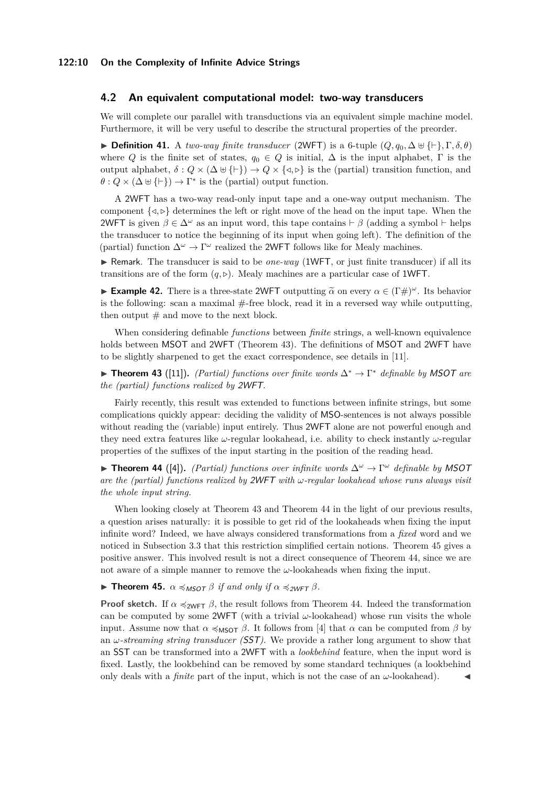### **4.2 An equivalent computational model: two-way transducers**

We will complete our parallel with transductions via an equivalent simple machine model. Furthermore, it will be very useful to describe the structural properties of the preorder.

**► Definition 41.** A *two-way finite transducer* (2WFT) is a 6-tuple  $(Q, q_0, \Delta \oplus \{\vdash\}, \Gamma, \delta, \theta)$ where *Q* is the finite set of states,  $q_0 \in Q$  is initial,  $\Delta$  is the input alphabet,  $\Gamma$  is the output alphabet,  $\delta: Q \times (\Delta \cup {\{\vdash\}}) \rightarrow Q \times {\{\triangleleft\},\}$  is the (partial) transition function, and  $\theta$  :  $Q \times (\Delta \cup \{\vdash\}) \rightarrow \Gamma^*$  is the (partial) output function.

A 2WFT has a two-way read-only input tape and a one-way output mechanism. The component  $\{\langle \varphi \rangle \}$  determines the left or right move of the head on the input tape. When the 2WFT is given  $\beta \in \Delta^{\omega}$  as an input word, this tape contains  $\vdash \beta$  (adding a symbol  $\vdash$  helps the transducer to notice the beginning of its input when going left). The definition of the (partial) function  $\Delta^{\omega} \to \Gamma^{\omega}$  realized the 2WFT follows like for Mealy machines.

▶ Remark. The transducer is said to be *one-way* (1WFT, or just finite transducer) if all its transitions are of the form  $(q, \triangleright)$ . Mealy machines are a particular case of 1WFT.

**Example 42.** There is a three-state 2WFT outputting  $\tilde{\alpha}$  on every  $\alpha \in (\Gamma \#)^{\omega}$ . Its behavior is the following: scan a maximal  $#$ -free block, read it in a reversed way while outputting, then output  $#$  and move to the next block.

When considering definable *functions* between *finite* strings, a well-known equivalence holds between MSOT and 2WFT (Theorem [43\)](#page-9-1). The definitions of MSOT and 2WFT have to be slightly sharpened to get the exact correspondence, see details in [\[11\]](#page-12-20).

<span id="page-9-1"></span>I **Theorem 43** ([\[11\]](#page-12-20))**.** *(Partial) functions over finite words* ∆<sup>∗</sup> → Γ <sup>∗</sup> *definable by* MSOT *are the (partial) functions realized by* 2WFT*.*

Fairly recently, this result was extended to functions between infinite strings, but some complications quickly appear: deciding the validity of MSO-sentences is not always possible without reading the (variable) input entirely. Thus 2WFT alone are not powerful enough and they need extra features like *ω*-regular lookahead, i.e. ability to check instantly *ω*-regular properties of the suffixes of the input starting in the position of the reading head.

<span id="page-9-2"></span>I **Theorem 44** ([\[4\]](#page-12-9))**.** *(Partial) functions over infinite words* ∆*<sup>ω</sup>* → Γ *<sup>ω</sup> definable by* MSOT *are the (partial) functions realized by* 2WFT *with ω-regular lookahead whose runs always visit the whole input string.*

When looking closely at Theorem [43](#page-9-1) and Theorem [44](#page-9-2) in the light of our previous results, a question arises naturally: it is possible to get rid of the lookaheads when fixing the input infinite word? Indeed, we have always considered transformations from a *fixed* word and we noticed in Subsection [3.3](#page-5-2) that this restriction simplified certain notions. Theorem [45](#page-9-0) gives a positive answer. This involved result is not a direct consequence of Theorem [44,](#page-9-2) since we are not aware of a simple manner to remove the *ω*-lookaheads when fixing the input.

<span id="page-9-0"></span>**Find Theorem 45.**  $\alpha \preccurlyeq_{MSOT} \beta$  *if and only if*  $\alpha \preccurlyeq_{2WFT} \beta$ *.* 

**Proof sketch.** If  $\alpha \leq \text{WFT}$  *β*, the result follows from Theorem [44.](#page-9-2) Indeed the transformation can be computed by some 2WFT (with a trivial  $\omega$ -lookahead) whose run visits the whole input. Assume now that  $\alpha \leq_{\text{MSOT}} \beta$ . It follows from [\[4\]](#page-12-9) that  $\alpha$  can be computed from  $\beta$  by an *ω-streaming string transducer (*SST*)*. We provide a rather long argument to show that an SST can be transformed into a 2WFT with a *lookbehind* feature, when the input word is fixed. Lastly, the lookbehind can be removed by some standard techniques (a lookbehind only deals with a *finite* part of the input, which is not the case of an  $\omega$ -lookahead).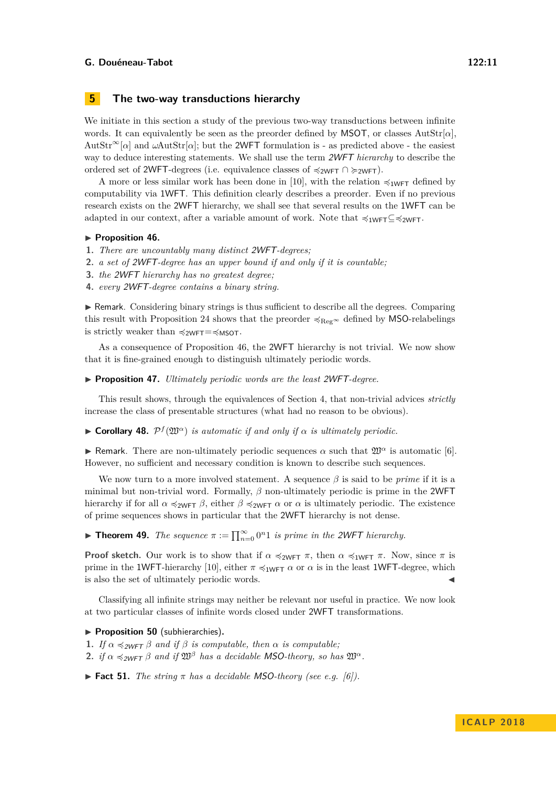# <span id="page-10-0"></span>**5 The two-way transductions hierarchy**

We initiate in this section a study of the previous two-way transductions between infinite words. It can equivalently be seen as the preorder defined by MSOT, or classes AutStr[*α*],  $\text{AutStr}^{\infty}[\alpha]$  and  $\omega\text{AutStr}[\alpha]$ ; but the 2WFT formulation is - as predicted above - the easiest way to deduce interesting statements. We shall use the term 2WFT *hierarchy* to describe the ordered set of 2WFT-degrees (i.e. equivalence classes of  $\preccurlyeq_{2WFT} \cap \succeq_{2WFT}$ ).

A more or less similar work has been done in [\[10\]](#page-12-10), with the relation  $\preccurlyeq_{\text{1WFT}}$  defined by computability via 1WFT. This definition clearly describes a preorder. Even if no previous research exists on the 2WFT hierarchy, we shall see that several results on the 1WFT can be adapted in our context, after a variable amount of work. Note that  $\preccurlyeq_{1WFT} \subseteq \preccurlyeq_{2WFT}$ .

#### <span id="page-10-1"></span>▶ Proposition 46.

- **1.** *There are uncountably many distinct* 2WFT*-degrees;*
- **2.** *a set of* 2WFT*-degree has an upper bound if and only if it is countable;*
- **3.** *the* 2WFT *hierarchy has no greatest degree;*
- **4.** *every* 2WFT*-degree contains a binary string.*

 $\triangleright$  Remark. Considering binary strings is thus sufficient to describe all the degrees. Comparing this result with Proposition [24](#page-5-3) shows that the preorder  $\prec_{\text{Reg}\infty}$  defined by MSO-relabelings is strictly weaker than  $\preccurlyeq_{2WFT}=\preccurlyeq_{MSOT}$ .

As a consequence of Proposition [46,](#page-10-1) the 2WFT hierarchy is not trivial. We now show that it is fine-grained enough to distinguish ultimately periodic words.

▶ **Proposition 47.** *Ultimately periodic words are the least 2WFT-degree.* 

This result shows, through the equivalences of Section [4,](#page-7-0) that non-trivial advices *strictly* increase the class of presentable structures (what had no reason to be obvious).

**Corollary 48.**  $P^f(\mathfrak{W}^{\alpha})$  *is automatic if and only if*  $\alpha$  *is ultimately periodic.* 

**I** Remark. There are non-ultimately periodic sequences  $\alpha$  such that  $\mathfrak{W}^{\alpha}$  is automatic [\[6\]](#page-12-16). However, no sufficient and necessary condition is known to describe such sequences.

We now turn to a more involved statement. A sequence *β* is said to be *prime* if it is a minimal but non-trivial word. Formally, *β* non-ultimately periodic is prime in the 2WFT hierarchy if for all  $\alpha \preccurlyeq_{2WFT} \beta$ , either  $\beta \preccurlyeq_{2WFT} \alpha$  or  $\alpha$  is ultimately periodic. The existence of prime sequences shows in particular that the 2WFT hierarchy is not dense.

**► Theorem 49.** *The sequence*  $π := \prod_{n=0}^{\infty} 0^n 1$  *is prime in the 2WFT hierarchy.* 

**Proof sketch.** Our work is to show that if  $\alpha \preccurlyeq_{2WFT} \pi$ , then  $\alpha \preccurlyeq_{1WFT} \pi$ . Now, since  $\pi$  is prime in the 1WFT-hierarchy [\[10\]](#page-12-10), either  $\pi \preccurlyeq_{1WFT} \alpha$  or  $\alpha$  is in the least 1WFT-degree, which is also the set of ultimately periodic words.

Classifying all infinite strings may neither be relevant nor useful in practice. We now look at two particular classes of infinite words closed under 2WFT transformations.

## ▶ **Proposition 50** (subhierarchies).

- **1.** *If*  $\alpha \preceq_{2WFT} \beta$  *and if*  $\beta$  *is computable, then*  $\alpha$  *is computable;*
- **2.** *if*  $\alpha \preceq_{2WFT} \beta$  *and if*  $\mathfrak{W}^{\beta}$  *has a decidable MSO-theory, so has*  $\mathfrak{W}^{\alpha}$ *.*

**Fact 51.** *The string*  $\pi$  *has a decidable MSO-theory (see e.g. [\[6\]](#page-12-16)).*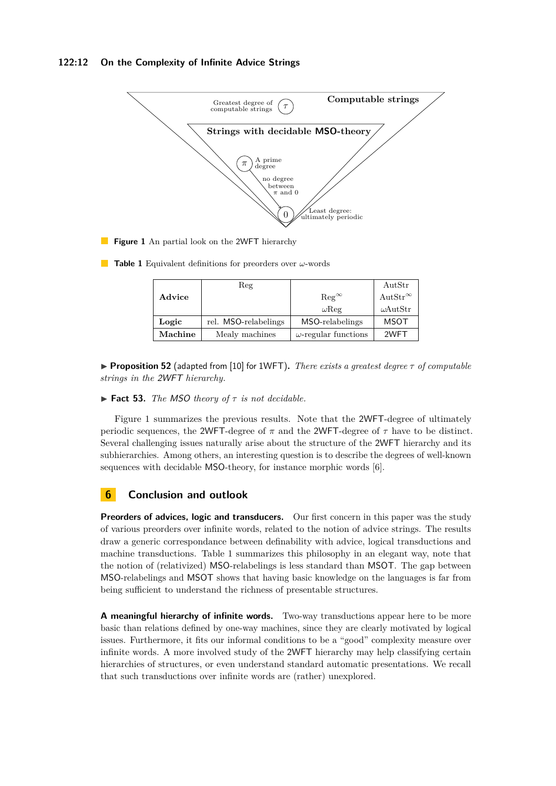# **122:12 On the Complexity of Infinite Advice Strings**

<span id="page-11-0"></span>

- **Figure 1** An partial look on the 2WFT hierarchy
- <span id="page-11-1"></span>**Table 1** Equivalent definitions for preorders over *ω*-words

|         | Reg                  |                             | AutStr            |
|---------|----------------------|-----------------------------|-------------------|
| Advice  |                      | $\text{Reg}^{\infty}$       | $AutStr^{\infty}$ |
|         |                      | $\omega$ Reg                | $\omega$ AutStr   |
| Logic   | rel. MSO-relabelings | MSO-relabelings             | <b>MSOT</b>       |
| Machine | Mealy machines       | $\omega$ -regular functions | 2WFT              |

**Proposition 52** (adapted from [\[10\]](#page-12-10) for 1WFT). *There exists a greatest degree*  $\tau$  *of computable strings in the* 2WFT *hierarchy.*

## $\blacktriangleright$  **Fact 53.** *The MSO theory of*  $\tau$  *is not decidable.*

Figure [1](#page-11-0) summarizes the previous results. Note that the 2WFT-degree of ultimately periodic sequences, the 2WFT-degree of  $\pi$  and the 2WFT-degree of  $\tau$  have to be distinct. Several challenging issues naturally arise about the structure of the 2WFT hierarchy and its subhierarchies. Among others, an interesting question is to describe the degrees of well-known sequences with decidable MSO-theory, for instance morphic words [\[6\]](#page-12-16).

# **6 Conclusion and outlook**

**Preorders of advices, logic and transducers.** Our first concern in this paper was the study of various preorders over infinite words, related to the notion of advice strings. The results draw a generic correspondance between definability with advice, logical transductions and machine transductions. Table [1](#page-11-1) summarizes this philosophy in an elegant way, note that the notion of (relativized) MSO-relabelings is less standard than MSOT. The gap between MSO-relabelings and MSOT shows that having basic knowledge on the languages is far from being sufficient to understand the richness of presentable structures.

**A meaningful hierarchy of infinite words.** Two-way transductions appear here to be more basic than relations defined by one-way machines, since they are clearly motivated by logical issues. Furthermore, it fits our informal conditions to be a "good" complexity measure over infinite words. A more involved study of the 2WFT hierarchy may help classifying certain hierarchies of structures, or even understand standard automatic presentations. We recall that such transductions over infinite words are (rather) unexplored.